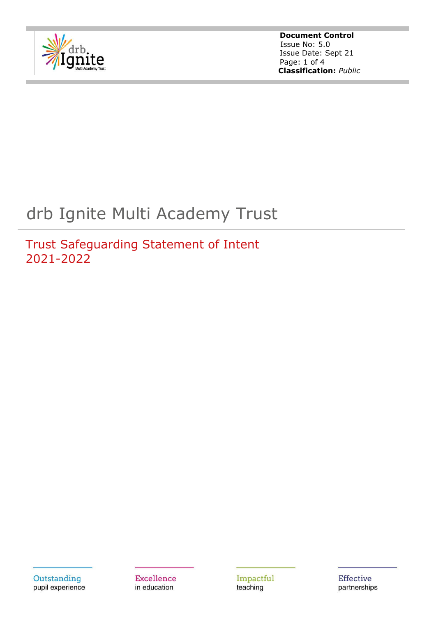

**Document Control** Issue No: 5.0 Issue Date: Sept 21 Page: 1 of 4  **Classification:** *Public*

# drb Ignite Multi Academy Trust

Trust Safeguarding Statement of Intent 2021-2022

Outstanding pupil experience **Excellence** in education

Impactful teaching

**Effective** partnerships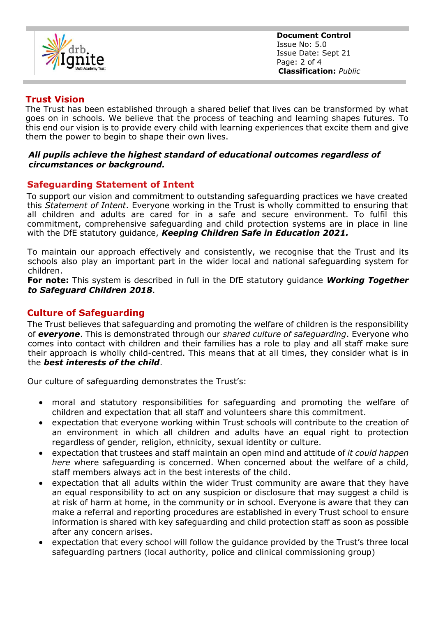

**Document Control** Issue No: 5.0 Issue Date: Sept 21 Page: 2 of 4  **Classification:** *Public*

## **Trust Vision**

The Trust has been established through a shared belief that lives can be transformed by what goes on in schools. We believe that the process of teaching and learning shapes futures. To this end our vision is to provide every child with learning experiences that excite them and give them the power to begin to shape their own lives.

#### *All pupils achieve the highest standard of educational outcomes regardless of circumstances or background.*

## **Safeguarding Statement of Intent**

To support our vision and commitment to outstanding safeguarding practices we have created this *Statement of Intent*. Everyone working in the Trust is wholly committed to ensuring that all children and adults are cared for in a safe and secure environment. To fulfil this commitment, comprehensive safeguarding and child protection systems are in place in line with the DfE statutory guidance, *Keeping Children Safe in Education 2021.*

To maintain our approach effectively and consistently, we recognise that the Trust and its schools also play an important part in the wider local and national safeguarding system for children.

**For note:** This system is described in full in the DfE statutory guidance *Working Together to Safeguard Children 2018*.

## **Culture of Safeguarding**

The Trust believes that safeguarding and promoting the welfare of children is the responsibility of *everyone*. This is demonstrated through our *shared culture of safeguarding*. Everyone who comes into contact with children and their families has a role to play and all staff make sure their approach is wholly child-centred. This means that at all times, they consider what is in the *best interests of the child*.

Our culture of safeguarding demonstrates the Trust's:

- moral and statutory responsibilities for safeguarding and promoting the welfare of children and expectation that all staff and volunteers share this commitment.
- expectation that everyone working within Trust schools will contribute to the creation of an environment in which all children and adults have an equal right to protection regardless of gender, religion, ethnicity, sexual identity or culture.
- expectation that trustees and staff maintain an open mind and attitude of *it could happen here* where safeguarding is concerned. When concerned about the welfare of a child, staff members always act in the best interests of the child.
- expectation that all adults within the wider Trust community are aware that they have an equal responsibility to act on any suspicion or disclosure that may suggest a child is at risk of harm at home, in the community or in school. Everyone is aware that they can make a referral and reporting procedures are established in every Trust school to ensure information is shared with key safeguarding and child protection staff as soon as possible after any concern arises.
- expectation that every school will follow the guidance provided by the Trust's three local safeguarding partners (local authority, police and clinical commissioning group)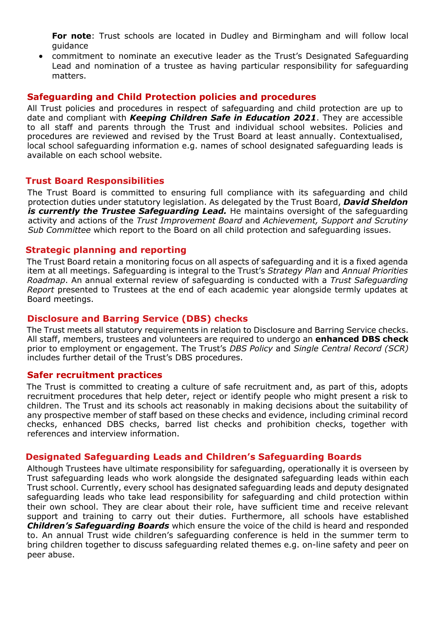**For note**: Trust schools are located in Dudley and Birmingham and will follow local guidance

• commitment to nominate an executive leader as the Trust's Designated Safeguarding Lead and nomination of a trustee as having particular responsibility for safeguarding matters.

### **Safeguarding and Child Protection policies and procedures**

All Trust policies and procedures in respect of safeguarding and child protection are up to date and compliant with *Keeping Children Safe in Education 2021*. They are accessible to all staff and parents through the Trust and individual school websites. Policies and procedures are reviewed and revised by the Trust Board at least annually. Contextualised, local school safeguarding information e.g. names of school designated safeguarding leads is available on each school website.

#### **Trust Board Responsibilities**

The Trust Board is committed to ensuring full compliance with its safeguarding and child protection duties under statutory legislation. As delegated by the Trust Board, *David Sheldon is currently the Trustee Safeguarding Lead.* He maintains oversight of the safeguarding activity and actions of the *Trust Improvement Board* and *Achievement, Support and Scrutiny Sub Committee* which report to the Board on all child protection and safeguarding issues.

#### **Strategic planning and reporting**

The Trust Board retain a monitoring focus on all aspects of safeguarding and it is a fixed agenda item at all meetings. Safeguarding is integral to the Trust's *Strategy Plan* and *Annual Priorities Roadmap*. An annual external review of safeguarding is conducted with a *Trust Safeguarding Report* presented to Trustees at the end of each academic year alongside termly updates at Board meetings.

#### **Disclosure and Barring Service (DBS) checks**

The Trust meets all statutory requirements in relation to Disclosure and Barring Service checks. All staff, members, trustees and volunteers are required to undergo an **enhanced DBS check** prior to employment or engagement. The Trust's *DBS Policy* and *Single Central Record (SCR)* includes further detail of the Trust's DBS procedures.

#### **Safer recruitment practices**

The Trust is committed to creating a culture of safe recruitment and, as part of this, adopts recruitment procedures that help deter, reject or identify people who might present a risk to children. The Trust and its schools act reasonably in making decisions about the suitability of any prospective member of staff based on these checks and evidence, including criminal record checks, enhanced DBS checks, barred list checks and prohibition checks, together with references and interview information.

#### **Designated Safeguarding Leads and Children's Safeguarding Boards**

Although Trustees have ultimate responsibility for safeguarding, operationally it is overseen by Trust safeguarding leads who work alongside the designated safeguarding leads within each Trust school. Currently, every school has designated safeguarding leads and deputy designated safeguarding leads who take lead responsibility for safeguarding and child protection within their own school. They are clear about their role, have sufficient time and receive relevant support and training to carry out their duties. Furthermore, all schools have established *Children's Safeguarding Boards* which ensure the voice of the child is heard and responded to. An annual Trust wide children's safeguarding conference is held in the summer term to bring children together to discuss safeguarding related themes e.g. on-line safety and peer on peer abuse.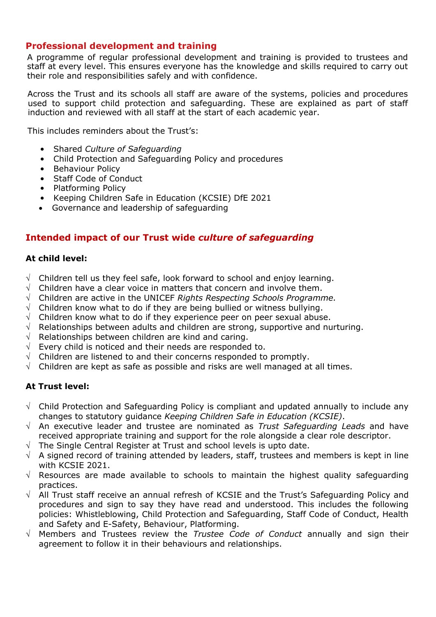## **Professional development and training**

A programme of regular professional development and training is provided to trustees and staff at every level. This ensures everyone has the knowledge and skills required to carry out their role and responsibilities safely and with confidence.

Across the Trust and its schools all staff are aware of the systems, policies and procedures used to support child protection and safeguarding. These are explained as part of staff induction and reviewed with all staff at the start of each academic year.

This includes reminders about the Trust's:

- Shared *Culture of Safeguarding*
- Child Protection and Safeguarding Policy and procedures
- Behaviour Policy
- Staff Code of Conduct
- Platforming Policy
- Keeping Children Safe in Education (KCSIE) DfE 2021
- Governance and leadership of safeguarding

## **Intended impact of our Trust wide** *culture of safeguarding*

#### **At child level:**

- $\sqrt{\phantom{a}}$  Children tell us they feel safe, look forward to school and enjoy learning.
- Children have a clear voice in matters that concern and involve them.
- Children are active in the UNICEF *Rights Respecting Schools Programme.*
- Children know what to do if they are being bullied or witness bullying.
- $\sqrt{ }$  Children know what to do if they experience peer on peer sexual abuse.
- $\sqrt{ }$  Relationships between adults and children are strong, supportive and nurturing.
- $\sqrt{\phantom{a}}$  Relationships between children are kind and caring.
- $\sqrt{ }$  Every child is noticed and their needs are responded to.
- $\sqrt{\phantom{a}}$  Children are listened to and their concerns responded to promptly.
- $\sqrt{ }$  Children are kept as safe as possible and risks are well managed at all times.

#### **At Trust level:**

- $\sqrt{\phantom{a}}$  Child Protection and Safeguarding Policy is compliant and updated annually to include any changes to statutory guidance *Keeping Children Safe in Education (KCSIE)*.
- $\sqrt{ }$  An executive leader and trustee are nominated as *Trust Safequarding Leads* and have received appropriate training and support for the role alongside a clear role descriptor.
- The Single Central Register at Trust and school levels is upto date.
- $\sqrt{ }$  A signed record of training attended by leaders, staff, trustees and members is kept in line with KCSIE 2021.
- $\sqrt{ }$  Resources are made available to schools to maintain the highest quality safeguarding practices.
- $\sqrt{ }$  All Trust staff receive an annual refresh of KCSIE and the Trust's Safeguarding Policy and procedures and sign to say they have read and understood. This includes the following policies: Whistleblowing, Child Protection and Safeguarding, Staff Code of Conduct, Health and Safety and E-Safety, Behaviour, Platforming.
- $\sqrt{ }$  Members and Trustees review the *Trustee Code of Conduct* annually and sign their agreement to follow it in their behaviours and relationships.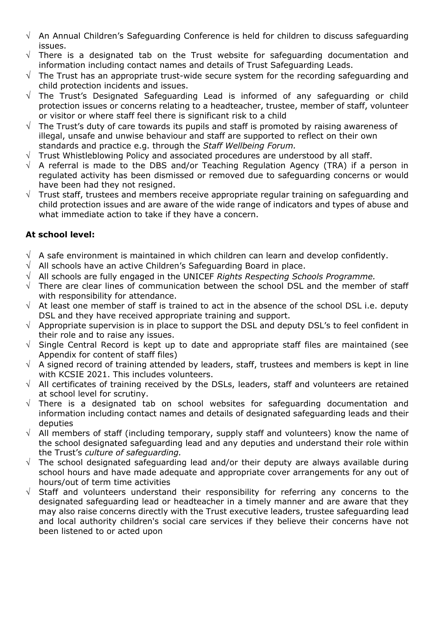- $\sqrt{ }$  An Annual Children's Safeguarding Conference is held for children to discuss safeguarding issues.
- $\sqrt{ }$  There is a designated tab on the Trust website for safeguarding documentation and information including contact names and details of Trust Safeguarding Leads.
- $\sqrt{ }$  The Trust has an appropriate trust-wide secure system for the recording safeguarding and child protection incidents and issues.
- $\sqrt{ }$  The Trust's Designated Safeguarding Lead is informed of any safeguarding or child protection issues or concerns relating to a headteacher, trustee, member of staff, volunteer or visitor or where staff feel there is significant risk to a child
- $\sqrt{ }$  The Trust's duty of care towards its pupils and staff is promoted by raising awareness of illegal, unsafe and unwise behaviour and staff are supported to reflect on their own standards and practice e.g. through the *Staff Wellbeing Forum.*
- $\sqrt{ }$  Trust Whistleblowing Policy and associated procedures are understood by all staff.
- $\sqrt{ }$  A referral is made to the DBS and/or Teaching Regulation Agency (TRA) if a person in regulated activity has been dismissed or removed due to safeguarding concerns or would have been had they not resigned.
- $\sqrt{ }$  Trust staff, trustees and members receive appropriate regular training on safeguarding and child protection issues and are aware of the wide range of indicators and types of abuse and what immediate action to take if they have a concern.

## **At school level:**

- $\sqrt{ }$  A safe environment is maintained in which children can learn and develop confidently.
- $\sqrt{\phantom{a}}$  All schools have an active Children's Safeguarding Board in place.
- $\sqrt{\phantom{a}}$  All schools are fully engaged in the UNICEF *Rights Respecting Schools Programme.*
- $\sqrt{ }$  There are clear lines of communication between the school DSL and the member of staff with responsibility for attendance.
- $\sqrt{ }$  At least one member of staff is trained to act in the absence of the school DSL i.e. deputy DSL and they have received appropriate training and support.
- $\sqrt{ }$  Appropriate supervision is in place to support the DSL and deputy DSL's to feel confident in their role and to raise any issues.
- $\sqrt{ }$  Single Central Record is kept up to date and appropriate staff files are maintained (see Appendix for content of staff files)
- $\sqrt{ }$  A signed record of training attended by leaders, staff, trustees and members is kept in line with KCSIE 2021. This includes volunteers.
- $\sqrt{ }$  All certificates of training received by the DSLs, leaders, staff and volunteers are retained at school level for scrutiny.
- $\sqrt{ }$  There is a designated tab on school websites for safeguarding documentation and information including contact names and details of designated safeguarding leads and their deputies
- $\sqrt{ }$  All members of staff (including temporary, supply staff and volunteers) know the name of the school designated safeguarding lead and any deputies and understand their role within the Trust's *culture of safeguarding.*
- $\sqrt{ }$  The school designated safeguarding lead and/or their deputy are always available during school hours and have made adequate and appropriate cover arrangements for any out of hours/out of term time activities
- $\sqrt{ }$  Staff and volunteers understand their responsibility for referring any concerns to the designated safeguarding lead or headteacher in a timely manner and are aware that they may also raise concerns directly with the Trust executive leaders, trustee safeguarding lead and local authority children's social care services if they believe their concerns have not been listened to or acted upon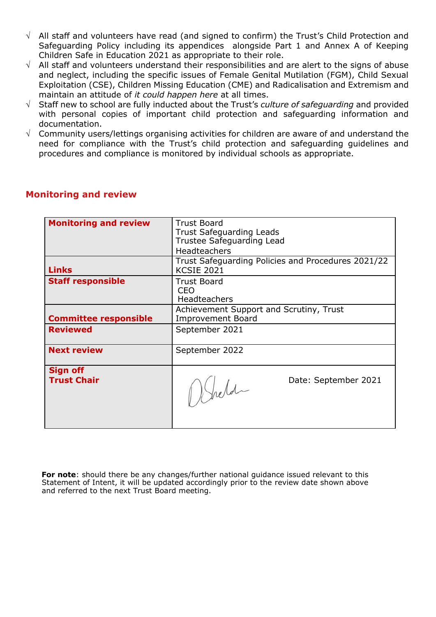- $\sqrt{ }$  All staff and volunteers have read (and signed to confirm) the Trust's Child Protection and Safeguarding Policy including its appendices alongside Part 1 and Annex A of Keeping Children Safe in Education 2021 as appropriate to their role.
- $\sqrt{\phantom{a}}$  All staff and volunteers understand their responsibilities and are alert to the signs of abuse and neglect, including the specific issues of Female Genital Mutilation (FGM), Child Sexual Exploitation (CSE), Children Missing Education (CME) and Radicalisation and Extremism and maintain an attitude of *it could happen here* at all times.
- Staff new to school are fully inducted about the Trust's *culture of safeguarding* and provided with personal copies of important child protection and safeguarding information and documentation.
- $\sqrt{ }$  Community users/lettings organising activities for children are aware of and understand the need for compliance with the Trust's child protection and safeguarding guidelines and procedures and compliance is monitored by individual schools as appropriate.

| <b>Monitoring and review</b>          | <b>Trust Board</b><br><b>Trust Safeguarding Leads</b><br>Trustee Safeguarding Lead<br><b>Headteachers</b> |  |
|---------------------------------------|-----------------------------------------------------------------------------------------------------------|--|
| <b>Links</b>                          | Trust Safeguarding Policies and Procedures 2021/22<br><b>KCSIE 2021</b>                                   |  |
| <b>Staff responsible</b>              | <b>Trust Board</b><br>CEO<br><b>Headteachers</b>                                                          |  |
| <b>Committee responsible</b>          | Achievement Support and Scrutiny, Trust<br><b>Improvement Board</b>                                       |  |
| <b>Reviewed</b>                       | September 2021                                                                                            |  |
| <b>Next review</b>                    | September 2022                                                                                            |  |
| <b>Sign off</b><br><b>Trust Chair</b> | Date: September 2021<br>1) Sheld                                                                          |  |

# **Monitoring and review**

**For note**: should there be any changes/further national guidance issued relevant to this Statement of Intent, it will be updated accordingly prior to the review date shown above and referred to the next Trust Board meeting.